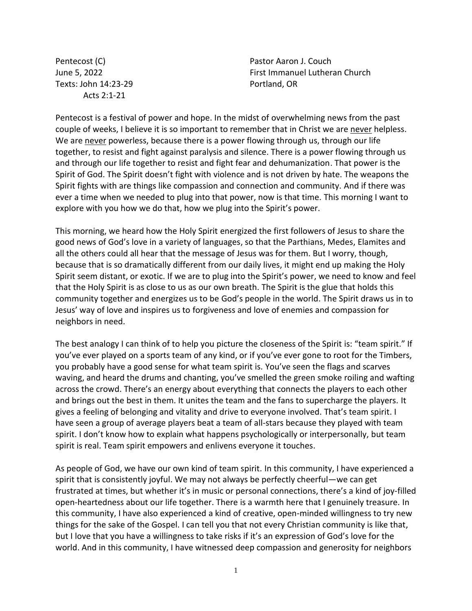Pentecost (C) June 5, 2022 Texts: John 14:23-29 Acts 2:1-21

Pastor Aaron J. Couch First Immanuel Lutheran Church Portland, OR

Pentecost is a festival of power and hope. In the midst of overwhelming news from the past couple of weeks, I believe it is so important to remember that in Christ we are never helpless. We are never powerless, because there is a power flowing through us, through our life together, to resist and fight against paralysis and silence. There is a power flowing through us and through our life together to resist and fight fear and dehumanization. That power is the Spirit of God. The Spirit doesn't fight with violence and is not driven by hate. The weapons the Spirit fights with are things like compassion and connection and community. And if there was ever a time when we needed to plug into that power, now is that time. This morning I want to explore with you how we do that, how we plug into the Spirit's power.

This morning, we heard how the Holy Spirit energized the first followers of Jesus to share the good news of God's love in a variety of languages, so that the Parthians, Medes, Elamites and all the others could all hear that the message of Jesus was for them. But I worry, though, because that is so dramatically different from our daily lives, it might end up making the Holy Spirit seem distant, or exotic. If we are to plug into the Spirit's power, we need to know and feel that the Holy Spirit is as close to us as our own breath. The Spirit is the glue that holds this community together and energizes us to be God's people in the world. The Spirit draws us in to Jesus' way of love and inspires us to forgiveness and love of enemies and compassion for neighbors in need.

The best analogy I can think of to help you picture the closeness of the Spirit is: "team spirit." If you've ever played on a sports team of any kind, or if you've ever gone to root for the Timbers, you probably have a good sense for what team spirit is. You've seen the flags and scarves waving, and heard the drums and chanting, you've smelled the green smoke roiling and wafting across the crowd. There's an energy about everything that connects the players to each other and brings out the best in them. It unites the team and the fans to supercharge the players. It gives a feeling of belonging and vitality and drive to everyone involved. That's team spirit. I have seen a group of average players beat a team of all-stars because they played with team spirit. I don't know how to explain what happens psychologically or interpersonally, but team spirit is real. Team spirit empowers and enlivens everyone it touches.

As people of God, we have our own kind of team spirit. In this community, I have experienced a spirit that is consistently joyful. We may not always be perfectly cheerful—we can get frustrated at times, but whether it's in music or personal connections, there's a kind of joy-filled open-heartedness about our life together. There is a warmth here that I genuinely treasure. In this community, I have also experienced a kind of creative, open-minded willingness to try new things for the sake of the Gospel. I can tell you that not every Christian community is like that, but I love that you have a willingness to take risks if it's an expression of God's love for the world. And in this community, I have witnessed deep compassion and generosity for neighbors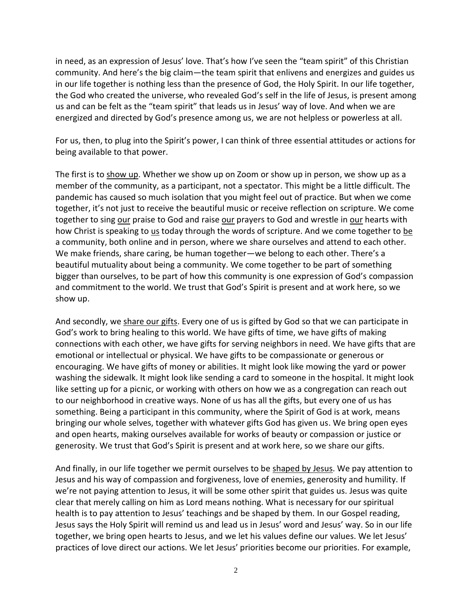in need, as an expression of Jesus' love. That's how I've seen the "team spirit" of this Christian community. And here's the big claim—the team spirit that enlivens and energizes and guides us in our life together is nothing less than the presence of God, the Holy Spirit. In our life together, the God who created the universe, who revealed God's self in the life of Jesus, is present among us and can be felt as the "team spirit" that leads us in Jesus' way of love. And when we are energized and directed by God's presence among us, we are not helpless or powerless at all.

For us, then, to plug into the Spirit's power, I can think of three essential attitudes or actions for being available to that power.

The first is to show up. Whether we show up on Zoom or show up in person, we show up as a member of the community, as a participant, not a spectator. This might be a little difficult. The pandemic has caused so much isolation that you might feel out of practice. But when we come together, it's not just to receive the beautiful music or receive reflection on scripture. We come together to sing our praise to God and raise our prayers to God and wrestle in our hearts with how Christ is speaking to us today through the words of scripture. And we come together to be a community, both online and in person, where we share ourselves and attend to each other. We make friends, share caring, be human together—we belong to each other. There's a beautiful mutuality about being a community. We come together to be part of something bigger than ourselves, to be part of how this community is one expression of God's compassion and commitment to the world. We trust that God's Spirit is present and at work here, so we show up.

And secondly, we share our gifts. Every one of us is gifted by God so that we can participate in God's work to bring healing to this world. We have gifts of time, we have gifts of making connections with each other, we have gifts for serving neighbors in need. We have gifts that are emotional or intellectual or physical. We have gifts to be compassionate or generous or encouraging. We have gifts of money or abilities. It might look like mowing the yard or power washing the sidewalk. It might look like sending a card to someone in the hospital. It might look like setting up for a picnic, or working with others on how we as a congregation can reach out to our neighborhood in creative ways. None of us has all the gifts, but every one of us has something. Being a participant in this community, where the Spirit of God is at work, means bringing our whole selves, together with whatever gifts God has given us. We bring open eyes and open hearts, making ourselves available for works of beauty or compassion or justice or generosity. We trust that God's Spirit is present and at work here, so we share our gifts.

And finally, in our life together we permit ourselves to be shaped by Jesus. We pay attention to Jesus and his way of compassion and forgiveness, love of enemies, generosity and humility. If we're not paying attention to Jesus, it will be some other spirit that guides us. Jesus was quite clear that merely calling on him as Lord means nothing. What is necessary for our spiritual health is to pay attention to Jesus' teachings and be shaped by them. In our Gospel reading, Jesus says the Holy Spirit will remind us and lead us in Jesus' word and Jesus' way. So in our life together, we bring open hearts to Jesus, and we let his values define our values. We let Jesus' practices of love direct our actions. We let Jesus' priorities become our priorities. For example,